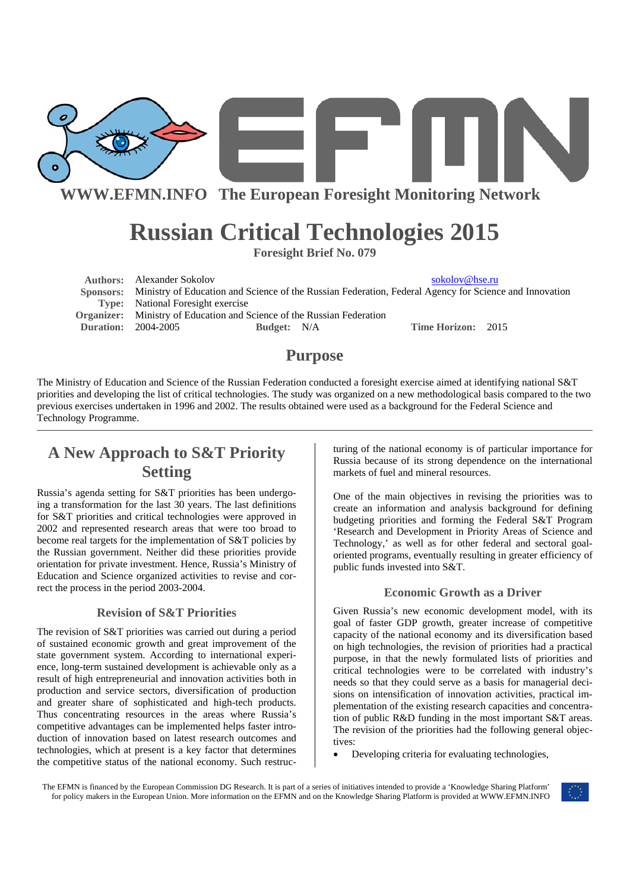

**WWW.EFMN.INFO The European Foresight Monitoring Network**

# **Russian Critical Technologies 2015**

**Foresight Brief No. 079** 

**Authors:** Alexander Sokolov sokolov sokolov@hse.ru  **Sponsors:** Ministry of Education and Science of the Russian Federation, Federal Agency for Science and Innovation **Type:** National Foresight exercise **Organizer:** Ministry of Education and Science of the Russian Federation **Duration:** 2004-2005 **Budget:** N/A **Time Horizon:** 2015

### **Purpose**

The Ministry of Education and Science of the Russian Federation conducted a foresight exercise aimed at identifying national S&T priorities and developing the list of critical technologies. The study was organized on a new methodological basis compared to the two previous exercises undertaken in 1996 and 2002. The results obtained were used as a background for the Federal Science and Technology Programme.

### **A New Approach to S&T Priority Setting**

Russia's agenda setting for S&T priorities has been undergoing a transformation for the last 30 years. The last definitions for S&T priorities and critical technologies were approved in 2002 and represented research areas that were too broad to become real targets for the implementation of S&T policies by the Russian government. Neither did these priorities provide orientation for private investment. Hence, Russia's Ministry of Education and Science organized activities to revise and correct the process in the period 2003-2004.

#### **Revision of S&T Priorities**

The revision of S&T priorities was carried out during a period of sustained economic growth and great improvement of the state government system. According to international experience, long-term sustained development is achievable only as a result of high entrepreneurial and innovation activities both in production and service sectors, diversification of production and greater share of sophisticated and high-tech products. Thus concentrating resources in the areas where Russia's competitive advantages can be implemented helps faster introduction of innovation based on latest research outcomes and technologies, which at present is a key factor that determines the competitive status of the national economy. Such restructuring of the national economy is of particular importance for Russia because of its strong dependence on the international markets of fuel and mineral resources.

One of the main objectives in revising the priorities was to create an information and analysis background for defining budgeting priorities and forming the Federal S&T Program 'Research and Development in Priority Areas of Science and Technology,' as well as for other federal and sectoral goaloriented programs, eventually resulting in greater efficiency of public funds invested into S&T.

#### **Economic Growth as a Driver**

Given Russia's new economic development model, with its goal of faster GDP growth, greater increase of competitive capacity of the national economy and its diversification based on high technologies, the revision of priorities had a practical purpose, in that the newly formulated lists of priorities and critical technologies were to be correlated with industry's needs so that they could serve as a basis for managerial decisions on intensification of innovation activities, practical implementation of the existing research capacities and concentration of public R&D funding in the most important S&T areas. The revision of the priorities had the following general objectives:

• Developing criteria for evaluating technologies,

The EFMN is financed by the European Commission DG Research. It is part of a series of initiatives intended to provide a 'Knowledge Sharing Platform' for policy makers in the European Union. More information on the EFMN and on the Knowledge Sharing Platform is provided at WWW.EFMN.INFO

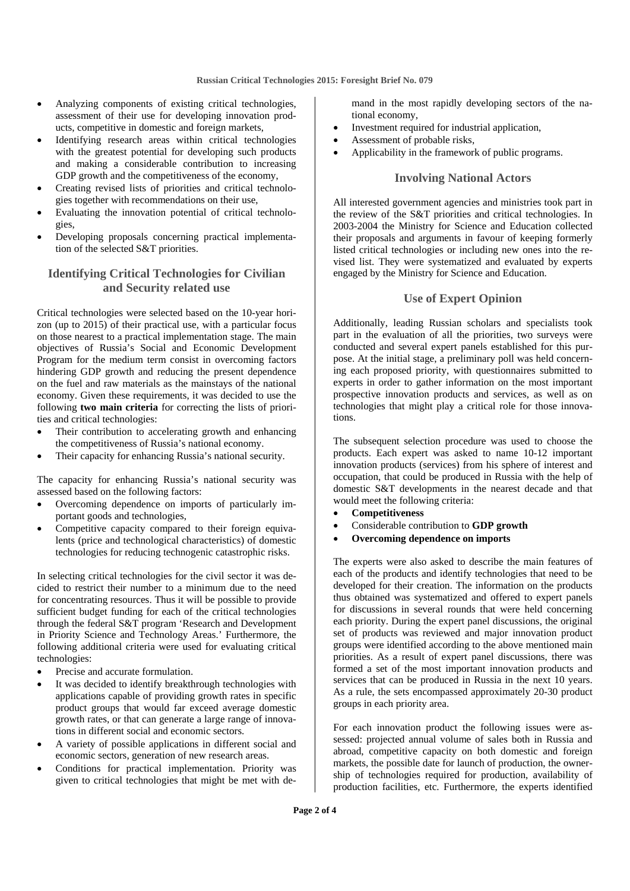- Analyzing components of existing critical technologies, assessment of their use for developing innovation products, competitive in domestic and foreign markets,
- Identifying research areas within critical technologies with the greatest potential for developing such products and making a considerable contribution to increasing GDP growth and the competitiveness of the economy,
- Creating revised lists of priorities and critical technologies together with recommendations on their use,
- Evaluating the innovation potential of critical technologies,
- Developing proposals concerning practical implementation of the selected S&T priorities.

#### **Identifying Critical Technologies for Civilian and Security related use**

Critical technologies were selected based on the 10-year horizon (up to 2015) of their practical use, with a particular focus on those nearest to a practical implementation stage. The main objectives of Russia's Social and Economic Development Program for the medium term consist in overcoming factors hindering GDP growth and reducing the present dependence on the fuel and raw materials as the mainstays of the national economy. Given these requirements, it was decided to use the following **two main criteria** for correcting the lists of priorities and critical technologies:

- Their contribution to accelerating growth and enhancing the competitiveness of Russia's national economy.
- Their capacity for enhancing Russia's national security.

The capacity for enhancing Russia's national security was assessed based on the following factors:

- Overcoming dependence on imports of particularly important goods and technologies,
- Competitive capacity compared to their foreign equivalents (price and technological characteristics) of domestic technologies for reducing technogenic catastrophic risks.

In selecting critical technologies for the civil sector it was decided to restrict their number to a minimum due to the need for concentrating resources. Thus it will be possible to provide sufficient budget funding for each of the critical technologies through the federal S&T program 'Research and Development in Priority Science and Technology Areas.' Furthermore, the following additional criteria were used for evaluating critical technologies:

- Precise and accurate formulation.
- It was decided to identify breakthrough technologies with applications capable of providing growth rates in specific product groups that would far exceed average domestic growth rates, or that can generate a large range of innovations in different social and economic sectors.
- A variety of possible applications in different social and economic sectors, generation of new research areas.
- Conditions for practical implementation. Priority was given to critical technologies that might be met with de-

mand in the most rapidly developing sectors of the national economy,

- Investment required for industrial application,
- Assessment of probable risks,
- Applicability in the framework of public programs.

#### **Involving National Actors**

All interested government agencies and ministries took part in the review of the S&T priorities and critical technologies. In 2003-2004 the Ministry for Science and Education collected their proposals and arguments in favour of keeping formerly listed critical technologies or including new ones into the revised list. They were systematized and evaluated by experts engaged by the Ministry for Science and Education.

#### **Use of Expert Opinion**

Additionally, leading Russian scholars and specialists took part in the evaluation of all the priorities, two surveys were conducted and several expert panels established for this purpose. At the initial stage, a preliminary poll was held concerning each proposed priority, with questionnaires submitted to experts in order to gather information on the most important prospective innovation products and services, as well as on technologies that might play a critical role for those innovations.

The subsequent selection procedure was used to choose the products. Each expert was asked to name 10-12 important innovation products (services) from his sphere of interest and occupation, that could be produced in Russia with the help of domestic S&T developments in the nearest decade and that would meet the following criteria:

- **Competitiveness**
- Considerable contribution to **GDP growth**
- **Overcoming dependence on imports**

The experts were also asked to describe the main features of each of the products and identify technologies that need to be developed for their creation. The information on the products thus obtained was systematized and offered to expert panels for discussions in several rounds that were held concerning each priority. During the expert panel discussions, the original set of products was reviewed and major innovation product groups were identified according to the above mentioned main priorities. As a result of expert panel discussions, there was formed a set of the most important innovation products and services that can be produced in Russia in the next 10 years. As a rule, the sets encompassed approximately 20-30 product groups in each priority area.

For each innovation product the following issues were assessed: projected annual volume of sales both in Russia and abroad, competitive capacity on both domestic and foreign markets, the possible date for launch of production, the ownership of technologies required for production, availability of production facilities, etc. Furthermore, the experts identified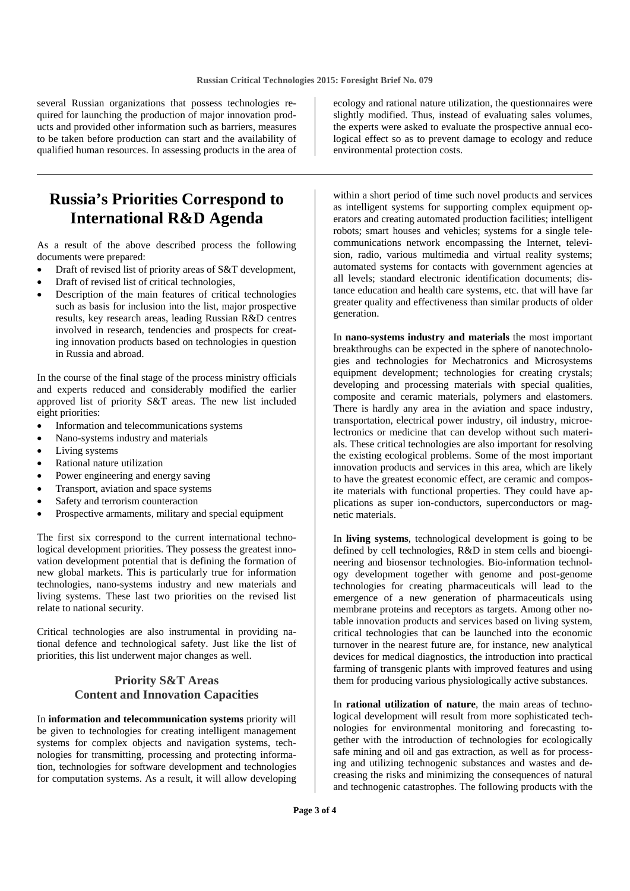several Russian organizations that possess technologies required for launching the production of major innovation products and provided other information such as barriers, measures to be taken before production can start and the availability of qualified human resources. In assessing products in the area of

### **Russia's Priorities Correspond to International R&D Agenda**

As a result of the above described process the following documents were prepared:

- Draft of revised list of priority areas of S&T development,
- Draft of revised list of critical technologies,
- Description of the main features of critical technologies such as basis for inclusion into the list, major prospective results, key research areas, leading Russian R&D centres involved in research, tendencies and prospects for creating innovation products based on technologies in question in Russia and abroad.

In the course of the final stage of the process ministry officials and experts reduced and considerably modified the earlier approved list of priority S&T areas. The new list included eight priorities:

- Information and telecommunications systems
- Nano-systems industry and materials
- Living systems
- Rational nature utilization
- Power engineering and energy saving
- Transport, aviation and space systems
- Safety and terrorism counteraction
- Prospective armaments, military and special equipment

The first six correspond to the current international technological development priorities. They possess the greatest innovation development potential that is defining the formation of new global markets. This is particularly true for information technologies, nano-systems industry and new materials and living systems. These last two priorities on the revised list relate to national security.

Critical technologies are also instrumental in providing national defence and technological safety. Just like the list of priorities, this list underwent major changes as well.

### **Priority S&T Areas Content and Innovation Capacities**

In **information and telecommunication systems** priority will be given to technologies for creating intelligent management systems for complex objects and navigation systems, technologies for transmitting, processing and protecting information, technologies for software development and technologies for computation systems. As a result, it will allow developing

ecology and rational nature utilization, the questionnaires were slightly modified. Thus, instead of evaluating sales volumes, the experts were asked to evaluate the prospective annual ecological effect so as to prevent damage to ecology and reduce environmental protection costs.

within a short period of time such novel products and services as intelligent systems for supporting complex equipment operators and creating automated production facilities; intelligent robots; smart houses and vehicles; systems for a single telecommunications network encompassing the Internet, television, radio, various multimedia and virtual reality systems; automated systems for contacts with government agencies at all levels; standard electronic identification documents; distance education and health care systems, etc. that will have far greater quality and effectiveness than similar products of older generation.

In **nano-systems industry and materials** the most important breakthroughs can be expected in the sphere of nanotechnologies and technologies for Mechatronics and Microsystems equipment development; technologies for creating crystals; developing and processing materials with special qualities, composite and ceramic materials, polymers and elastomers. There is hardly any area in the aviation and space industry, transportation, electrical power industry, oil industry, microelectronics or medicine that can develop without such materials. These critical technologies are also important for resolving the existing ecological problems. Some of the most important innovation products and services in this area, which are likely to have the greatest economic effect, are ceramic and composite materials with functional properties. They could have applications as super ion-conductors, superconductors or magnetic materials.

In **living systems**, technological development is going to be defined by cell technologies, R&D in stem cells and bioengineering and biosensor technologies. Bio-information technology development together with genome and post-genome technologies for creating pharmaceuticals will lead to the emergence of a new generation of pharmaceuticals using membrane proteins and receptors as targets. Among other notable innovation products and services based on living system, critical technologies that can be launched into the economic turnover in the nearest future are, for instance, new analytical devices for medical diagnostics, the introduction into practical farming of transgenic plants with improved features and using them for producing various physiologically active substances.

In **rational utilization of nature**, the main areas of technological development will result from more sophisticated technologies for environmental monitoring and forecasting together with the introduction of technologies for ecologically safe mining and oil and gas extraction, as well as for processing and utilizing technogenic substances and wastes and decreasing the risks and minimizing the consequences of natural and technogenic catastrophes. The following products with the